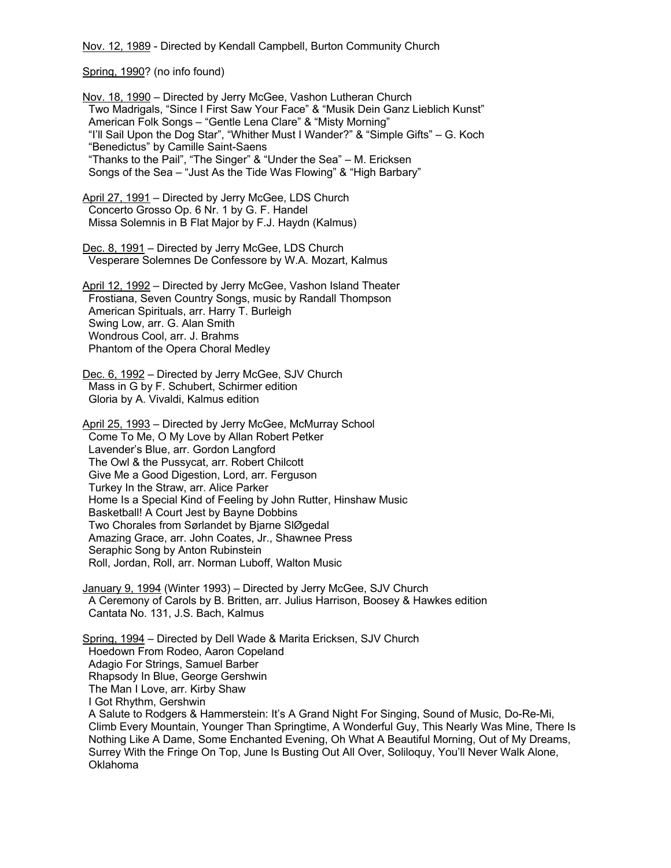Nov. 12, 1989 - Directed by Kendall Campbell, Burton Community Church

Spring, 1990? (no info found)

Nov. 18, 1990 – Directed by Jerry McGee, Vashon Lutheran Church Two Madrigals, "Since I First Saw Your Face" & "Musik Dein Ganz Lieblich Kunst" American Folk Songs – "Gentle Lena Clare" & "Misty Morning" "I'll Sail Upon the Dog Star", "Whither Must I Wander?" & "Simple Gifts" – G. Koch "Benedictus" by Camille Saint-Saens "Thanks to the Pail", "The Singer" & "Under the Sea" – M. Ericksen Songs of the Sea – "Just As the Tide Was Flowing" & "High Barbary"

April 27, 1991 - Directed by Jerry McGee, LDS Church Concerto Grosso Op. 6 Nr. 1 by G. F. Handel Missa Solemnis in B Flat Major by F.J. Haydn (Kalmus)

Dec. 8, 1991 – Directed by Jerry McGee, LDS Church Vesperare Solemnes De Confessore by W.A. Mozart, Kalmus

April 12, 1992 – Directed by Jerry McGee, Vashon Island Theater Frostiana, Seven Country Songs, music by Randall Thompson American Spirituals, arr. Harry T. Burleigh Swing Low, arr. G. Alan Smith Wondrous Cool, arr. J. Brahms Phantom of the Opera Choral Medley

Dec. 6, 1992 - Directed by Jerry McGee, SJV Church Mass in G by F. Schubert, Schirmer edition Gloria by A. Vivaldi, Kalmus edition

April 25, 1993 – Directed by Jerry McGee, McMurray School Come To Me, O My Love by Allan Robert Petker Lavender's Blue, arr. Gordon Langford The Owl & the Pussycat, arr. Robert Chilcott Give Me a Good Digestion, Lord, arr. Ferguson Turkey In the Straw, arr. Alice Parker Home Is a Special Kind of Feeling by John Rutter, Hinshaw Music Basketball! A Court Jest by Bayne Dobbins Two Chorales from Sørlandet by Bjarne SlØgedal Amazing Grace, arr. John Coates, Jr., Shawnee Press Seraphic Song by Anton Rubinstein Roll, Jordan, Roll, arr. Norman Luboff, Walton Music

January 9, 1994 (Winter 1993) – Directed by Jerry McGee, SJV Church A Ceremony of Carols by B. Britten, arr. Julius Harrison, Boosey & Hawkes edition Cantata No. 131, J.S. Bach, Kalmus

Spring, 1994 – Directed by Dell Wade & Marita Ericksen, SJV Church Hoedown From Rodeo, Aaron Copeland Adagio For Strings, Samuel Barber Rhapsody In Blue, George Gershwin The Man I Love, arr. Kirby Shaw I Got Rhythm, Gershwin A Salute to Rodgers & Hammerstein: It's A Grand Night For Singing, Sound of Music, Do-Re-Mi,

 Climb Every Mountain, Younger Than Springtime, A Wonderful Guy, This Nearly Was Mine, There Is Nothing Like A Dame, Some Enchanted Evening, Oh What A Beautiful Morning, Out of My Dreams, Surrey With the Fringe On Top, June Is Busting Out All Over, Soliloquy, You'll Never Walk Alone, Oklahoma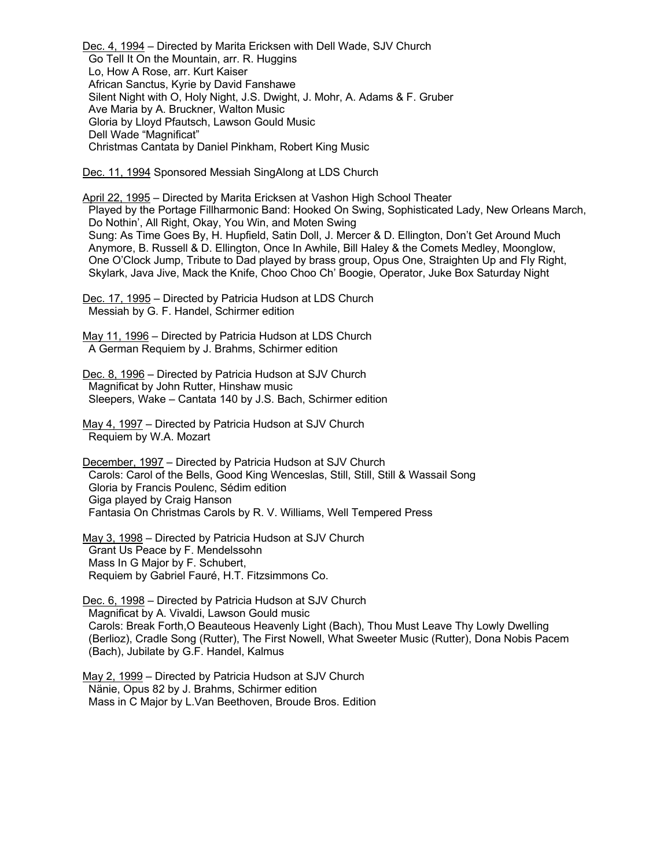Dec. 4, 1994 – Directed by Marita Ericksen with Dell Wade, SJV Church Go Tell It On the Mountain, arr. R. Huggins Lo, How A Rose, arr. Kurt Kaiser African Sanctus, Kyrie by David Fanshawe Silent Night with O, Holy Night, J.S. Dwight, J. Mohr, A. Adams & F. Gruber Ave Maria by A. Bruckner, Walton Music Gloria by Lloyd Pfautsch, Lawson Gould Music Dell Wade "Magnificat" Christmas Cantata by Daniel Pinkham, Robert King Music

Dec. 11, 1994 Sponsored Messiah SingAlong at LDS Church

April 22, 1995 – Directed by Marita Ericksen at Vashon High School Theater Played by the Portage Fillharmonic Band: Hooked On Swing, Sophisticated Lady, New Orleans March, Do Nothin', All Right, Okay, You Win, and Moten Swing Sung: As Time Goes By, H. Hupfield, Satin Doll, J. Mercer & D. Ellington, Don't Get Around Much Anymore, B. Russell & D. Ellington, Once In Awhile, Bill Haley & the Comets Medley, Moonglow, One O'Clock Jump, Tribute to Dad played by brass group, Opus One, Straighten Up and Fly Right, Skylark, Java Jive, Mack the Knife, Choo Choo Ch' Boogie, Operator, Juke Box Saturday Night

Dec. 17, 1995 – Directed by Patricia Hudson at LDS Church Messiah by G. F. Handel, Schirmer edition

May 11, 1996 – Directed by Patricia Hudson at LDS Church A German Requiem by J. Brahms, Schirmer edition

Dec. 8, 1996 - Directed by Patricia Hudson at SJV Church Magnificat by John Rutter, Hinshaw music Sleepers, Wake – Cantata 140 by J.S. Bach, Schirmer edition

May 4, 1997 – Directed by Patricia Hudson at SJV Church Requiem by W.A. Mozart

December, 1997 – Directed by Patricia Hudson at SJV Church Carols: Carol of the Bells, Good King Wenceslas, Still, Still, Still & Wassail Song Gloria by Francis Poulenc, Sédim edition Giga played by Craig Hanson Fantasia On Christmas Carols by R. V. Williams, Well Tempered Press

May 3, 1998 – Directed by Patricia Hudson at SJV Church Grant Us Peace by F. Mendelssohn Mass In G Major by F. Schubert, Requiem by Gabriel Fauré, H.T. Fitzsimmons Co.

Dec. 6, 1998 – Directed by Patricia Hudson at SJV Church Magnificat by A. Vivaldi, Lawson Gould music Carols: Break Forth,O Beauteous Heavenly Light (Bach), Thou Must Leave Thy Lowly Dwelling (Berlioz), Cradle Song (Rutter), The First Nowell, What Sweeter Music (Rutter), Dona Nobis Pacem (Bach), Jubilate by G.F. Handel, Kalmus

May 2, 1999 – Directed by Patricia Hudson at SJV Church Nänie, Opus 82 by J. Brahms, Schirmer edition Mass in C Major by L.Van Beethoven, Broude Bros. Edition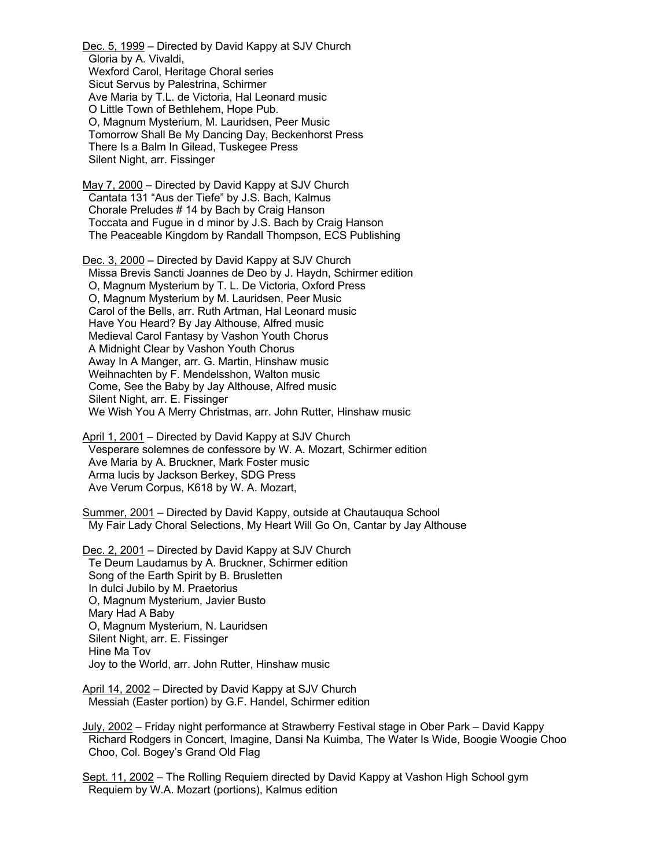Dec. 5, 1999 – Directed by David Kappy at SJV Church Gloria by A. Vivaldi, Wexford Carol, Heritage Choral series Sicut Servus by Palestrina, Schirmer Ave Maria by T.L. de Victoria, Hal Leonard music O Little Town of Bethlehem, Hope Pub. O, Magnum Mysterium, M. Lauridsen, Peer Music Tomorrow Shall Be My Dancing Day, Beckenhorst Press There Is a Balm In Gilead, Tuskegee Press Silent Night, arr. Fissinger

May 7, 2000 – Directed by David Kappy at SJV Church Cantata 131 "Aus der Tiefe" by J.S. Bach, Kalmus Chorale Preludes # 14 by Bach by Craig Hanson Toccata and Fugue in d minor by J.S. Bach by Craig Hanson The Peaceable Kingdom by Randall Thompson, ECS Publishing

Dec. 3, 2000 – Directed by David Kappy at SJV Church Missa Brevis Sancti Joannes de Deo by J. Haydn, Schirmer edition O, Magnum Mysterium by T. L. De Victoria, Oxford Press O, Magnum Mysterium by M. Lauridsen, Peer Music Carol of the Bells, arr. Ruth Artman, Hal Leonard music Have You Heard? By Jay Althouse, Alfred music Medieval Carol Fantasy by Vashon Youth Chorus A Midnight Clear by Vashon Youth Chorus Away In A Manger, arr. G. Martin, Hinshaw music Weihnachten by F. Mendelsshon, Walton music Come, See the Baby by Jay Althouse, Alfred music Silent Night, arr. E. Fissinger We Wish You A Merry Christmas, arr. John Rutter, Hinshaw music

April 1, 2001 – Directed by David Kappy at SJV Church Vesperare solemnes de confessore by W. A. Mozart, Schirmer edition Ave Maria by A. Bruckner, Mark Foster music Arma lucis by Jackson Berkey, SDG Press Ave Verum Corpus, K618 by W. A. Mozart,

Summer, 2001 – Directed by David Kappy, outside at Chautauqua School My Fair Lady Choral Selections, My Heart Will Go On, Cantar by Jay Althouse

Dec. 2, 2001 – Directed by David Kappy at SJV Church Te Deum Laudamus by A. Bruckner, Schirmer edition Song of the Earth Spirit by B. Brusletten In dulci Jubilo by M. Praetorius O, Magnum Mysterium, Javier Busto Mary Had A Baby O, Magnum Mysterium, N. Lauridsen Silent Night, arr. E. Fissinger Hine Ma Tov Joy to the World, arr. John Rutter, Hinshaw music

April 14, 2002 – Directed by David Kappy at SJV Church Messiah (Easter portion) by G.F. Handel, Schirmer edition

July, 2002 – Friday night performance at Strawberry Festival stage in Ober Park – David Kappy Richard Rodgers in Concert, Imagine, Dansi Na Kuimba, The Water Is Wide, Boogie Woogie Choo Choo, Col. Bogey's Grand Old Flag

Sept. 11, 2002 – The Rolling Requiem directed by David Kappy at Vashon High School gym Requiem by W.A. Mozart (portions), Kalmus edition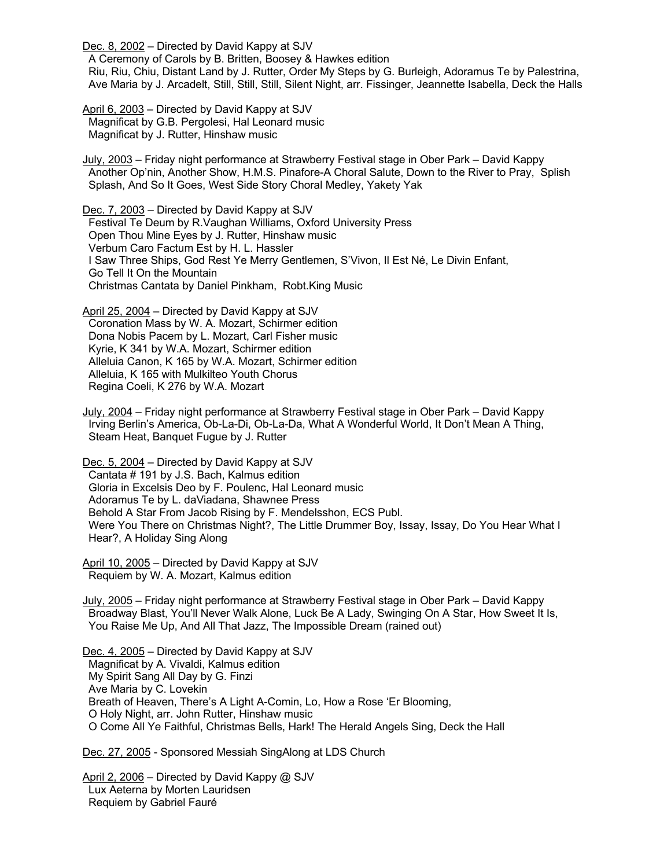Dec. 8, 2002 – Directed by David Kappy at SJV

 A Ceremony of Carols by B. Britten, Boosey & Hawkes edition Riu, Riu, Chiu, Distant Land by J. Rutter, Order My Steps by G. Burleigh, Adoramus Te by Palestrina, Ave Maria by J. Arcadelt, Still, Still, Still, Silent Night, arr. Fissinger, Jeannette Isabella, Deck the Halls

April 6, 2003 – Directed by David Kappy at SJV Magnificat by G.B. Pergolesi, Hal Leonard music Magnificat by J. Rutter, Hinshaw music

July, 2003 – Friday night performance at Strawberry Festival stage in Ober Park – David Kappy Another Op'nin, Another Show, H.M.S. Pinafore-A Choral Salute, Down to the River to Pray, Splish Splash, And So It Goes, West Side Story Choral Medley, Yakety Yak

Dec. 7, 2003 - Directed by David Kappy at SJV Festival Te Deum by R.Vaughan Williams, Oxford University Press Open Thou Mine Eyes by J. Rutter, Hinshaw music Verbum Caro Factum Est by H. L. Hassler I Saw Three Ships, God Rest Ye Merry Gentlemen, S'Vivon, Il Est Né, Le Divin Enfant, Go Tell It On the Mountain Christmas Cantata by Daniel Pinkham, Robt.King Music

April 25, 2004 – Directed by David Kappy at SJV Coronation Mass by W. A. Mozart, Schirmer edition Dona Nobis Pacem by L. Mozart, Carl Fisher music Kyrie, K 341 by W.A. Mozart, Schirmer edition Alleluia Canon, K 165 by W.A. Mozart, Schirmer edition Alleluia, K 165 with Mulkilteo Youth Chorus Regina Coeli, K 276 by W.A. Mozart

July, 2004 – Friday night performance at Strawberry Festival stage in Ober Park – David Kappy Irving Berlin's America, Ob-La-Di, Ob-La-Da, What A Wonderful World, It Don't Mean A Thing, Steam Heat, Banquet Fugue by J. Rutter

Dec. 5, 2004 – Directed by David Kappy at SJV Cantata # 191 by J.S. Bach, Kalmus edition Gloria in Excelsis Deo by F. Poulenc, Hal Leonard music Adoramus Te by L. daViadana, Shawnee Press Behold A Star From Jacob Rising by F. Mendelsshon, ECS Publ. Were You There on Christmas Night?, The Little Drummer Boy, Issay, Issay, Do You Hear What I Hear?, A Holiday Sing Along

April 10, 2005 – Directed by David Kappy at SJV Requiem by W. A. Mozart, Kalmus edition

July, 2005 – Friday night performance at Strawberry Festival stage in Ober Park – David Kappy Broadway Blast, You'll Never Walk Alone, Luck Be A Lady, Swinging On A Star, How Sweet It Is, You Raise Me Up, And All That Jazz, The Impossible Dream (rained out)

Dec. 4, 2005 – Directed by David Kappy at SJV Magnificat by A. Vivaldi, Kalmus edition My Spirit Sang All Day by G. Finzi Ave Maria by C. Lovekin Breath of Heaven, There's A Light A-Comin, Lo, How a Rose 'Er Blooming, O Holy Night, arr. John Rutter, Hinshaw music O Come All Ye Faithful, Christmas Bells, Hark! The Herald Angels Sing, Deck the Hall

Dec. 27, 2005 - Sponsored Messiah SingAlong at LDS Church

April 2, 2006 - Directed by David Kappy @ SJV Lux Aeterna by Morten Lauridsen Requiem by Gabriel Fauré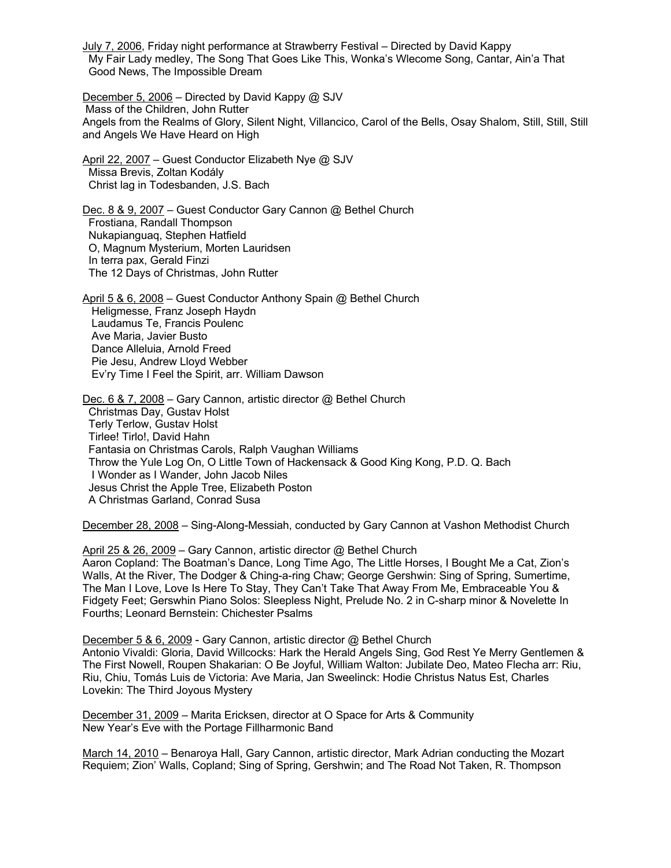July 7, 2006, Friday night performance at Strawberry Festival – Directed by David Kappy My Fair Lady medley, The Song That Goes Like This, Wonka's Wlecome Song, Cantar, Ain'a That Good News, The Impossible Dream

December 5, 2006 – Directed by David Kappy @ SJV Mass of the Children, John Rutter Angels from the Realms of Glory, Silent Night, Villancico, Carol of the Bells, Osay Shalom, Still, Still, Still and Angels We Have Heard on High

April 22, 2007 – Guest Conductor Elizabeth Nye @ SJV Missa Brevis, Zoltan Kodály Christ lag in Todesbanden, J.S. Bach

Dec. 8 & 9, 2007 – Guest Conductor Gary Cannon @ Bethel Church Frostiana, Randall Thompson Nukapianguaq, Stephen Hatfield O, Magnum Mysterium, Morten Lauridsen In terra pax, Gerald Finzi The 12 Days of Christmas, John Rutter

April 5 & 6, 2008 – Guest Conductor Anthony Spain @ Bethel Church Heligmesse, Franz Joseph Haydn Laudamus Te, Francis Poulenc Ave Maria, Javier Busto Dance Alleluia, Arnold Freed Pie Jesu, Andrew Lloyd Webber Ev'ry Time I Feel the Spirit, arr. William Dawson

Dec. 6 & 7, 2008 – Gary Cannon, artistic director @ Bethel Church Christmas Day, Gustav Holst Terly Terlow, Gustav Holst Tirlee! Tirlo!, David Hahn Fantasia on Christmas Carols, Ralph Vaughan Williams Throw the Yule Log On, O Little Town of Hackensack & Good King Kong, P.D. Q. Bach I Wonder as I Wander, John Jacob Niles Jesus Christ the Apple Tree, Elizabeth Poston A Christmas Garland, Conrad Susa

December 28, 2008 – Sing-Along-Messiah, conducted by Gary Cannon at Vashon Methodist Church

April 25 & 26, 2009 – Gary Cannon, artistic director @ Bethel Church Aaron Copland: The Boatman's Dance, Long Time Ago, The Little Horses, I Bought Me a Cat, Zion's Walls, At the River, The Dodger & Ching-a-ring Chaw; George Gershwin: Sing of Spring, Sumertime, The Man I Love, Love Is Here To Stay, They Can't Take That Away From Me, Embraceable You & Fidgety Feet; Gerswhin Piano Solos: Sleepless Night, Prelude No. 2 in C-sharp minor & Novelette In Fourths; Leonard Bernstein: Chichester Psalms

December 5 & 6, 2009 - Gary Cannon, artistic director @ Bethel Church Antonio Vivaldi: Gloria, David Willcocks: Hark the Herald Angels Sing, God Rest Ye Merry Gentlemen & The First Nowell, Roupen Shakarian: O Be Joyful, William Walton: Jubilate Deo, Mateo Flecha arr: Riu, Riu, Chiu, Tomás Luis de Victoria: Ave Maria, Jan Sweelinck: Hodie Christus Natus Est, Charles Lovekin: The Third Joyous Mystery

December 31, 2009 – Marita Ericksen, director at O Space for Arts & Community New Year's Eve with the Portage Fillharmonic Band

March 14, 2010 – Benaroya Hall, Gary Cannon, artistic director, Mark Adrian conducting the Mozart Requiem; Zion' Walls, Copland; Sing of Spring, Gershwin; and The Road Not Taken, R. Thompson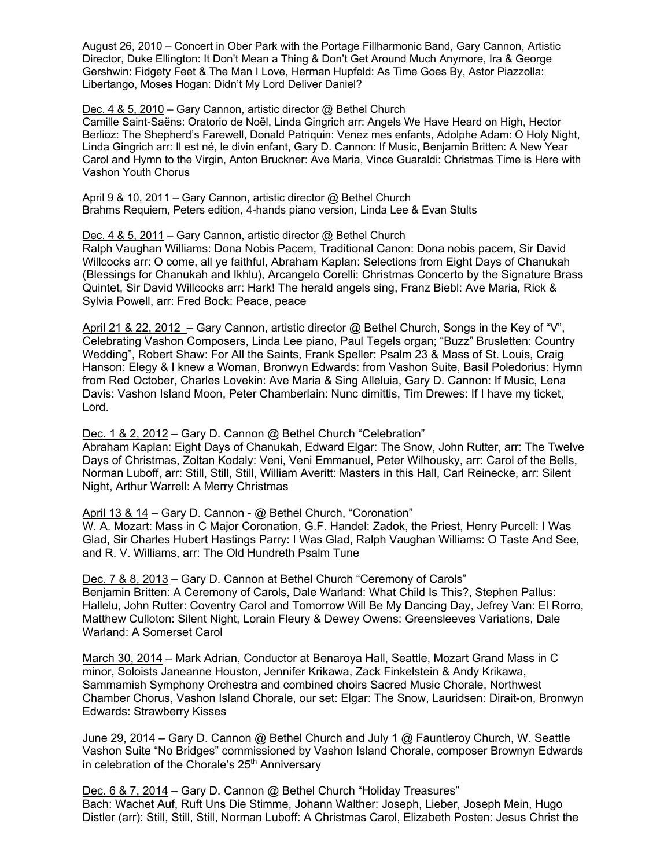August 26, 2010 – Concert in Ober Park with the Portage Fillharmonic Band, Gary Cannon, Artistic Director, Duke Ellington: It Don't Mean a Thing & Don't Get Around Much Anymore, Ira & George Gershwin: Fidgety Feet & The Man I Love, Herman Hupfeld: As Time Goes By, Astor Piazzolla: Libertango, Moses Hogan: Didn't My Lord Deliver Daniel?

Dec. 4 & 5, 2010 – Gary Cannon, artistic director @ Bethel Church

Camille Saint-Saëns: Oratorio de Noël, Linda Gingrich arr: Angels We Have Heard on High, Hector Berlioz: The Shepherd's Farewell, Donald Patriquin: Venez mes enfants, Adolphe Adam: O Holy Night, Linda Gingrich arr: Il est né, le divin enfant, Gary D. Cannon: If Music, Benjamin Britten: A New Year Carol and Hymn to the Virgin, Anton Bruckner: Ave Maria, Vince Guaraldi: Christmas Time is Here with Vashon Youth Chorus

April 9 & 10, 2011 – Gary Cannon, artistic director @ Bethel Church Brahms Requiem, Peters edition, 4-hands piano version, Linda Lee & Evan Stults

## Dec. 4 & 5, 2011 – Gary Cannon, artistic director @ Bethel Church

Ralph Vaughan Williams: Dona Nobis Pacem, Traditional Canon: Dona nobis pacem, Sir David Willcocks arr: O come, all ye faithful, Abraham Kaplan: Selections from Eight Days of Chanukah (Blessings for Chanukah and Ikhlu), Arcangelo Corelli: Christmas Concerto by the Signature Brass Quintet, Sir David Willcocks arr: Hark! The herald angels sing, Franz Biebl: Ave Maria, Rick & Sylvia Powell, arr: Fred Bock: Peace, peace

April 21 & 22, 2012 – Gary Cannon, artistic director @ Bethel Church, Songs in the Key of "V", Celebrating Vashon Composers, Linda Lee piano, Paul Tegels organ; "Buzz" Brusletten: Country Wedding", Robert Shaw: For All the Saints, Frank Speller: Psalm 23 & Mass of St. Louis, Craig Hanson: Elegy & I knew a Woman, Bronwyn Edwards: from Vashon Suite, Basil Poledorius: Hymn from Red October, Charles Lovekin: Ave Maria & Sing Alleluia, Gary D. Cannon: If Music, Lena Davis: Vashon Island Moon, Peter Chamberlain: Nunc dimittis, Tim Drewes: If I have my ticket, Lord.

Dec. 1 & 2, 2012 – Gary D. Cannon @ Bethel Church "Celebration"

Abraham Kaplan: Eight Days of Chanukah, Edward Elgar: The Snow, John Rutter, arr: The Twelve Days of Christmas, Zoltan Kodaly: Veni, Veni Emmanuel, Peter Wilhousky, arr: Carol of the Bells, Norman Luboff, arr: Still, Still, Still, William Averitt: Masters in this Hall, Carl Reinecke, arr: Silent Night, Arthur Warrell: A Merry Christmas

April 13 & 14 – Gary D. Cannon - @ Bethel Church, "Coronation"

W. A. Mozart: Mass in C Major Coronation, G.F. Handel: Zadok, the Priest, Henry Purcell: I Was Glad, Sir Charles Hubert Hastings Parry: I Was Glad, Ralph Vaughan Williams: O Taste And See, and R. V. Williams, arr: The Old Hundreth Psalm Tune

Dec. 7 & 8, 2013 – Gary D. Cannon at Bethel Church "Ceremony of Carols" Benjamin Britten: A Ceremony of Carols, Dale Warland: What Child Is This?, Stephen Pallus: Hallelu, John Rutter: Coventry Carol and Tomorrow Will Be My Dancing Day, Jefrey Van: El Rorro, Matthew Culloton: Silent Night, Lorain Fleury & Dewey Owens: Greensleeves Variations, Dale Warland: A Somerset Carol

March 30, 2014 – Mark Adrian, Conductor at Benaroya Hall, Seattle, Mozart Grand Mass in C minor, Soloists Janeanne Houston, Jennifer Krikawa, Zack Finkelstein & Andy Krikawa, Sammamish Symphony Orchestra and combined choirs Sacred Music Chorale, Northwest Chamber Chorus, Vashon Island Chorale, our set: Elgar: The Snow, Lauridsen: Dirait-on, Bronwyn Edwards: Strawberry Kisses

June 29, 2014 – Gary D. Cannon @ Bethel Church and July 1 @ Fauntleroy Church, W. Seattle Vashon Suite "No Bridges" commissioned by Vashon Island Chorale, composer Brownyn Edwards in celebration of the Chorale's 25<sup>th</sup> Anniversary

Dec. 6 & 7, 2014 – Gary D. Cannon @ Bethel Church "Holiday Treasures" Bach: Wachet Auf, Ruft Uns Die Stimme, Johann Walther: Joseph, Lieber, Joseph Mein, Hugo Distler (arr): Still, Still, Still, Norman Luboff: A Christmas Carol, Elizabeth Posten: Jesus Christ the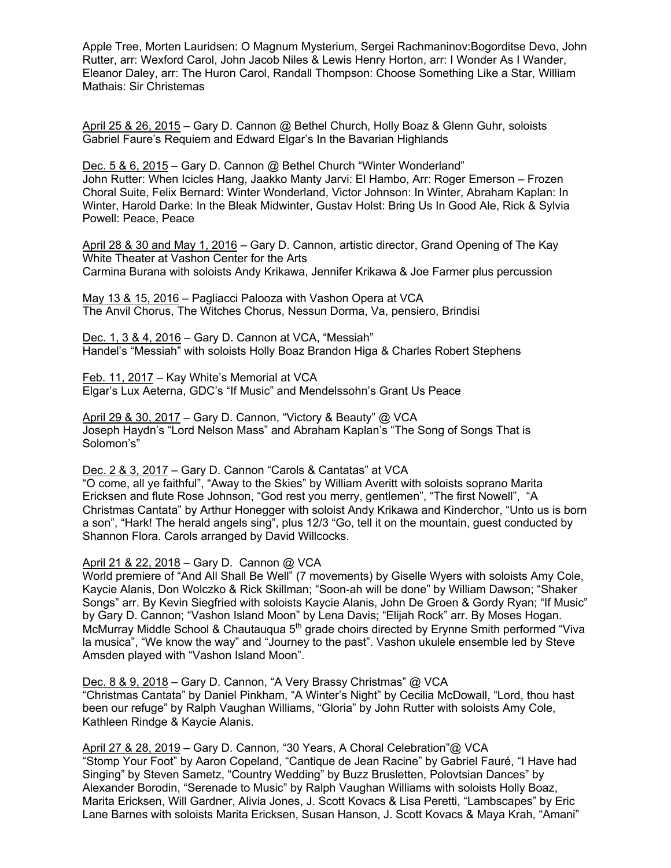Apple Tree, Morten Lauridsen: O Magnum Mysterium, Sergei Rachmaninov:Bogorditse Devo, John Rutter, arr: Wexford Carol, John Jacob Niles & Lewis Henry Horton, arr: I Wonder As I Wander, Eleanor Daley, arr: The Huron Carol, Randall Thompson: Choose Something Like a Star, William Mathais: Sir Christemas

April 25 & 26, 2015 – Gary D. Cannon @ Bethel Church, Holly Boaz & Glenn Guhr, soloists Gabriel Faure's Requiem and Edward Elgar's In the Bavarian Highlands

Dec. 5 & 6, 2015 – Gary D. Cannon @ Bethel Church "Winter Wonderland" John Rutter: When Icicles Hang, Jaakko Manty Jarvi: El Hambo, Arr: Roger Emerson – Frozen Choral Suite, Felix Bernard: Winter Wonderland, Victor Johnson: In Winter, Abraham Kaplan: In Winter, Harold Darke: In the Bleak Midwinter, Gustav Holst: Bring Us In Good Ale, Rick & Sylvia Powell: Peace, Peace

April 28 & 30 and May 1, 2016 – Gary D. Cannon, artistic director, Grand Opening of The Kay White Theater at Vashon Center for the Arts Carmina Burana with soloists Andy Krikawa, Jennifer Krikawa & Joe Farmer plus percussion

May 13 & 15, 2016 – Pagliacci Palooza with Vashon Opera at VCA The Anvil Chorus, The Witches Chorus, Nessun Dorma, Va, pensiero, Brindisi

Dec. 1, 3 & 4, 2016 – Gary D. Cannon at VCA, "Messiah" Handel's "Messiah" with soloists Holly Boaz Brandon Higa & Charles Robert Stephens

Feb. 11, 2017 – Kay White's Memorial at VCA Elgar's Lux Aeterna, GDC's "If Music" and Mendelssohn's Grant Us Peace

April 29 & 30, 2017 – Gary D. Cannon, "Victory & Beauty" @ VCA Joseph Haydn's "Lord Nelson Mass" and Abraham Kaplan's "The Song of Songs That is Solomon's"

Dec. 2 & 3, 2017 – Gary D. Cannon "Carols & Cantatas" at VCA

"O come, all ye faithful", "Away to the Skies" by William Averitt with soloists soprano Marita Ericksen and flute Rose Johnson, "God rest you merry, gentlemen", "The first Nowell", "A Christmas Cantata" by Arthur Honegger with soloist Andy Krikawa and Kinderchor, "Unto us is born a son", "Hark! The herald angels sing", plus 12/3 "Go, tell it on the mountain, guest conducted by Shannon Flora. Carols arranged by David Willcocks.

April 21 & 22, 2018 – Gary D. Cannon @ VCA

World premiere of "And All Shall Be Well" (7 movements) by Giselle Wyers with soloists Amy Cole, Kaycie Alanis, Don Wolczko & Rick Skillman; "Soon-ah will be done" by William Dawson; "Shaker Songs" arr. By Kevin Siegfried with soloists Kaycie Alanis, John De Groen & Gordy Ryan; "If Music" by Gary D. Cannon; "Vashon Island Moon" by Lena Davis; "Elijah Rock" arr. By Moses Hogan. McMurray Middle School & Chautauqua 5<sup>th</sup> grade choirs directed by Erynne Smith performed "Viva la musica", "We know the way" and "Journey to the past". Vashon ukulele ensemble led by Steve Amsden played with "Vashon Island Moon".

Dec. 8 & 9, 2018 – Gary D. Cannon, "A Very Brassy Christmas" @ VCA "Christmas Cantata" by Daniel Pinkham, "A Winter's Night" by Cecilia McDowall, "Lord, thou hast been our refuge" by Ralph Vaughan Williams, "Gloria" by John Rutter with soloists Amy Cole, Kathleen Rindge & Kaycie Alanis.

April 27 & 28, 2019 – Gary D. Cannon, "30 Years, A Choral Celebration"@ VCA "Stomp Your Foot" by Aaron Copeland, "Cantique de Jean Racine" by Gabriel Fauré, "I Have had Singing" by Steven Sametz, "Country Wedding" by Buzz Brusletten, Polovtsian Dances" by Alexander Borodin, "Serenade to Music" by Ralph Vaughan Williams with soloists Holly Boaz, Marita Ericksen, Will Gardner, Alivia Jones, J. Scott Kovacs & Lisa Peretti, "Lambscapes" by Eric Lane Barnes with soloists Marita Ericksen, Susan Hanson, J. Scott Kovacs & Maya Krah, "Amani"